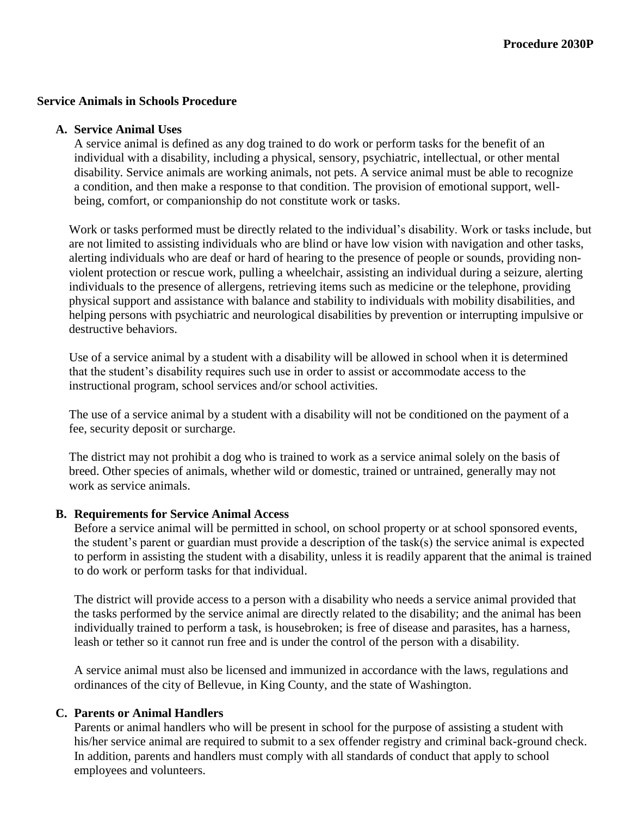#### **Service Animals in Schools Procedure**

#### **A. Service Animal Uses**

A service animal is defined as any dog trained to do work or perform tasks for the benefit of an individual with a disability, including a physical, sensory, psychiatric, intellectual, or other mental disability. Service animals are working animals, not pets. A service animal must be able to recognize a condition, and then make a response to that condition. The provision of emotional support, wellbeing, comfort, or companionship do not constitute work or tasks.

Work or tasks performed must be directly related to the individual's disability. Work or tasks include, but are not limited to assisting individuals who are blind or have low vision with navigation and other tasks, alerting individuals who are deaf or hard of hearing to the presence of people or sounds, providing nonviolent protection or rescue work, pulling a wheelchair, assisting an individual during a seizure, alerting individuals to the presence of allergens, retrieving items such as medicine or the telephone, providing physical support and assistance with balance and stability to individuals with mobility disabilities, and helping persons with psychiatric and neurological disabilities by prevention or interrupting impulsive or destructive behaviors.

Use of a service animal by a student with a disability will be allowed in school when it is determined that the student's disability requires such use in order to assist or accommodate access to the instructional program, school services and/or school activities.

The use of a service animal by a student with a disability will not be conditioned on the payment of a fee, security deposit or surcharge.

The district may not prohibit a dog who is trained to work as a service animal solely on the basis of breed. Other species of animals, whether wild or domestic, trained or untrained, generally may not work as service animals.

#### **B. Requirements for Service Animal Access**

Before a service animal will be permitted in school, on school property or at school sponsored events, the student's parent or guardian must provide a description of the task(s) the service animal is expected to perform in assisting the student with a disability, unless it is readily apparent that the animal is trained to do work or perform tasks for that individual.

The district will provide access to a person with a disability who needs a service animal provided that the tasks performed by the service animal are directly related to the disability; and the animal has been individually trained to perform a task, is housebroken; is free of disease and parasites, has a harness, leash or tether so it cannot run free and is under the control of the person with a disability.

A service animal must also be licensed and immunized in accordance with the laws, regulations and ordinances of the city of Bellevue, in King County, and the state of Washington.

### **C. Parents or Animal Handlers**

Parents or animal handlers who will be present in school for the purpose of assisting a student with his/her service animal are required to submit to a sex offender registry and criminal back-ground check. In addition, parents and handlers must comply with all standards of conduct that apply to school employees and volunteers.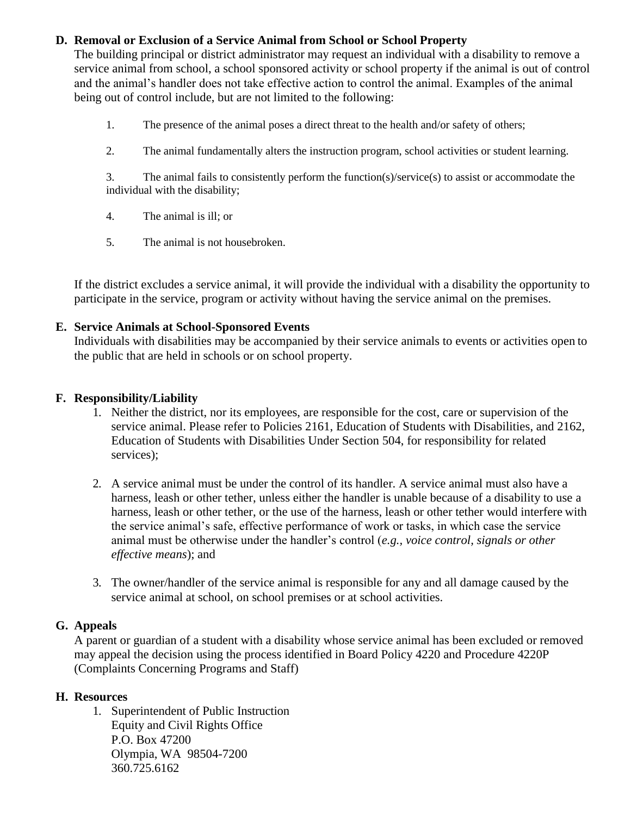# **D. Removal or Exclusion of a Service Animal from School or School Property**

The building principal or district administrator may request an individual with a disability to remove a service animal from school, a school sponsored activity or school property if the animal is out of control and the animal's handler does not take effective action to control the animal. Examples of the animal being out of control include, but are not limited to the following:

- 1. The presence of the animal poses a direct threat to the health and/or safety of others;
- 2. The animal fundamentally alters the instruction program, school activities or student learning.

3. The animal fails to consistently perform the function(s)/service(s) to assist or accommodate the individual with the disability;

- 4. The animal is ill; or
- 5. The animal is not housebroken.

If the district excludes a service animal, it will provide the individual with a disability the opportunity to participate in the service, program or activity without having the service animal on the premises.

## **E. Service Animals at School-Sponsored Events**

Individuals with disabilities may be accompanied by their service animals to events or activities open to the public that are held in schools or on school property.

## **F. Responsibility/Liability**

- 1. Neither the district, nor its employees, are responsible for the cost, care or supervision of the service animal. Please refer to [Policies 2161, Education of Students with Disabilities,](http://www.boarddocs.com/wa/wssda/Board.nsf/goto?open&id=8U6P956282CA) and [2162,](http://www.boarddocs.com/wa/wssda/Board.nsf/goto?open&id=8U6P9J629520) [Education of Students with Disabilities Under Section 504,](http://www.boarddocs.com/wa/wssda/Board.nsf/goto?open&id=8U6P9J629520) for responsibility for related services);
- 2. A service animal must be under the control of its handler. A service animal must also have a harness, leash or other tether, unless either the handler is unable because of a disability to use a harness, leash or other tether, or the use of the harness, leash or other tether would interfere with the service animal's safe, effective performance of work or tasks, in which case the service animal must be otherwise under the handler's control (*e.g., voice control, signals or other effective means*); and
- 3. The owner/handler of the service animal is responsible for any and all damage caused by the service animal at school, on school premises or at school activities.

# **G. Appeals**

A parent or guardian of a student with a disability whose service animal has been excluded or removed may appeal the decision using the process identified in Board Policy 4220 and Procedure 4220P (Complaints Concerning Programs and Staff)

# **H. Resources**

1. Superintendent of Public Instruction Equity and Civil Rights Office P.O. Box 47200 Olympia, WA 98504-7200 360.725.6162